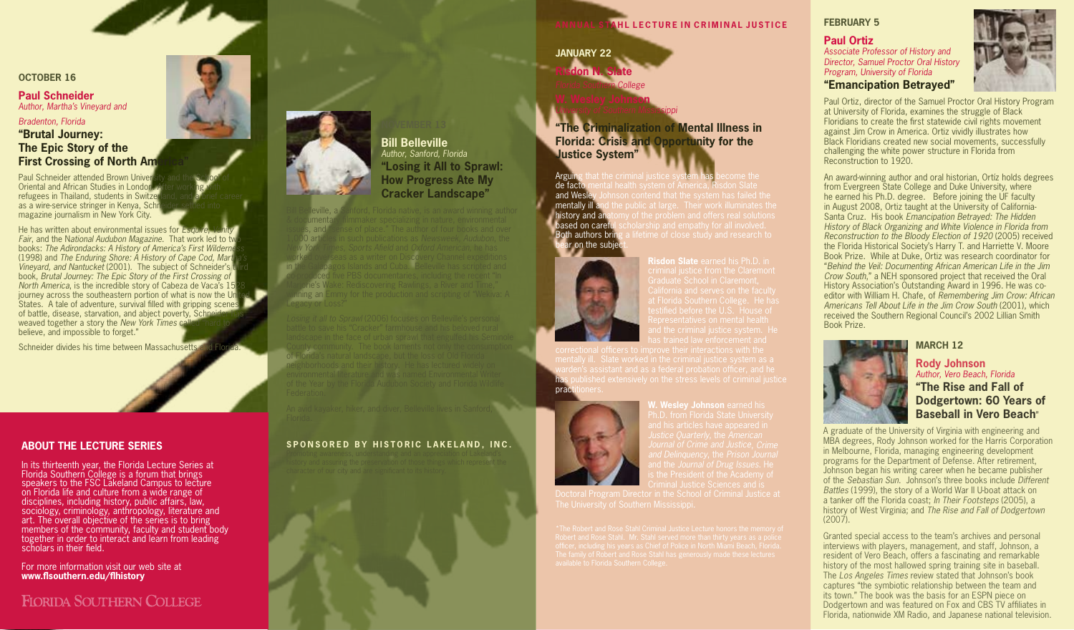#### **October 16**

#### **Paul Schneider** *Author, Martha's Vineyard and*

#### *Bradenton, Florida*

#### **"Brutal Journey: The Epic Story of the First Crossing of North Am**

Paul Schneider attended Brown Univer Oriental and African Studies in London. refugees in Thailand, students in Switzer as a wire-service stringer in Kenya, Schr magazine journalism in New York City.

He has written about environmental issues for  $E_{squ}$ Fair, and the National Audubon Magazine. That work led to two books: The Adirondacks: A History of America's First Wilderne (1998) and The Enduring Shore: A History of Cape Cod, Mart Vineyard, and Nantucket (2001). The subject of Schneider's book, Brutal Journey: The Epic Story of the First Crossing of North America, is the incredible story of Cabeza de Vaca's 15 journey across the southeastern portion of what is now the Unit States. A tale of adventure, survival filled with gripping scenes of battle, disease, starvation, and abject poverty, Schneid weaved together a story the New York Times ca believe, and impossible to forget."

Schneider divides his time between Massachusetts and

#### **ABOUT THE LECTURE SERIES**

In its thirteenth year, the Florida Lecture Series at Florida Southern College is a forum that brings speakers to the FSC Lakeland Campus to lecture on Florida life and culture from a wide range of disciplines, including history, public affairs, law, sociology, criminology, anthropology, literature and art. The overall objective of the series is to bring members of the community, faculty and student body together in order to interact and learn from leading scholars in their field.

For more information visit our web site at **www.flsouthern.edu/flhistory**

# FIORIDA SOUTHERN COLLEGE



**Bill Belleville** *Author, Sanford, Florida* **"Losing it All to Sprawl: How Progress Ate My Cracker Landscape"**

& documentary filmmaker specializing in nature, environmental issues, and "sense of place." The author of four books and over 1,000 articles in such publications as Newsweek, Audubon, the New York Times, Sports Afield and Oxford American, he has in the Galapagos Islands and Cuba. Belleville has scripted and co-produced five PBS documentaries, including the recent "In Marjorie's Wake: Rediscovering Rawlings, a River and Time," nning an Emmy for the production a

of Florida's natural landscape, but the loss of Old Florida

#### **SPONSORED BY HISTORIC LAKELAND. INC.**



### **Ann u a l S ta h l L e c t u r e i n C r i m i n a l J u st ice**

**January 22 Risdon N. Slate** 

*Florida Southern College* **W. Wesley Johnson** *University of Southern Mississippi*

## **"The Criminalization of Mental Illness in Florida: Crisis and Opportunity for the Justice System"**

Arguing de facto mental health system of America, F<br>and Wesley Johnson contend that the system mentally ill an history and anatomy of the problem and offers real solutions based on careful scholarship and empathy for all involved. Both authors bring a lifetime of close study and research to ar on the subjec



warden's assistant and as a federal probation officer, and he pract



**Vesley Johnson** earned his

#### **FEBRUARY 5**

# **Paul Ortiz** *Associate Professor of History and*

*Director, Samuel Proctor Oral History Program, University of Florida* 

## **"Emancipation Betrayed"**

Paul Ortiz, director of the Samuel Proctor Oral History Program at University of Florida, examines the struggle of Black Floridians to create the first statewide civil rights movement against Jim Crow in America. Ortiz vividly illustrates how Black Floridians created new social movements, successfully challenging the white power structure in Florida from Reconstruction to 1920.

An award-winning author and oral historian, Ortíz holds degrees from Evergreen State College and Duke University, where he earned his Ph.D. degree. Before joining the UF faculty in August 2008, Ortiz taught at the University of California-Santa Cruz. His book Emancipation Betrayed: The Hidden History of Black Organizing and White Violence in Florida from Reconstruction to the Bloody Election of 1920 (2005) received the Florida Historical Society's Harry T. and Harriette V. Moore Book Prize. While at Duke, Ortiz was research coordinator for "Behind the Veil: Documenting African American Life in the Jim Crow South," a NEH sponsored project that received the Oral History Association's Outstanding Award in 1996. He was coeditor with William H. Chafe, of Remembering Jim Crow: African Americans Tell About Life in the Jim Crow South (2001), which received the Southern Regional Council's 2002 Lillian Smith Book Prize.

#### **March 12**



#### **Rody Johnson** *Author, Vero Beach, Florida* **"The Rise and Fall of Dodgertown: 60 Years of Baseball in Vero Beach**"

A graduate of the University of Virginia with engineering and MBA degrees, Rody Johnson worked for the Harris Corporation in Melbourne, Florida, managing engineering development programs for the Department of Defense. After retirement, Johnson began his writing career when he became publisher of the Sebastian Sun. Johnson's three books include Different Battles (1999), the story of a World War II U-boat attack on a tanker off the Florida coast; In Their Footsteps (2005), a history of West Virginia; and The Rise and Fall of Dodgertown (2007).

Granted special access to the team's archives and personal interviews with players, management, and staff, Johnson, a resident of Vero Beach, offers a fascinating and remarkable history of the most hallowed spring training site in baseball. The Los Angeles Times review stated that Johnson's book captures "the symbiotic relationship between the team and its town." The book was the basis for an ESPN piece on Dodgertown and was featured on Fox and CBS TV affiliates in Florida, nationwide XM Radio, and Japanese national television.